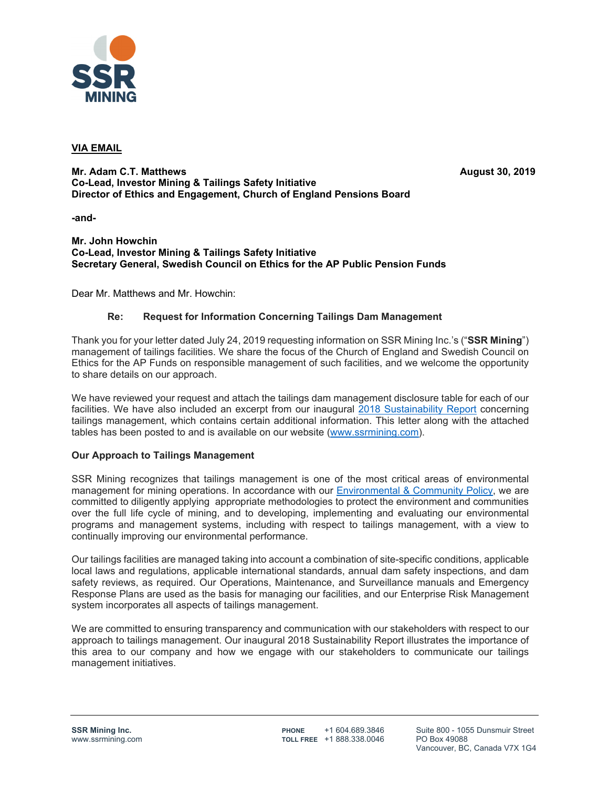

### **VIA EMAIL**

**Mr. Adam C.T. Matthews August 30, 2019 August 30, 2019 Co-Lead, Investor Mining & Tailings Safety Initiative Director of Ethics and Engagement, Church of England Pensions Board** 

**-and-**

**Mr. John Howchin Co-Lead, Investor Mining & Tailings Safety Initiative Secretary General, Swedish Council on Ethics for the AP Public Pension Funds** 

Dear Mr. Matthews and Mr. Howchin:

### **Re: Request for Information Concerning Tailings Dam Management**

Thank you for your letter dated July 24, 2019 requesting information on SSR Mining Inc.'s ("**SSR Mining**") management of tailings facilities. We share the focus of the Church of England and Swedish Council on Ethics for the AP Funds on responsible management of such facilities, and we welcome the opportunity to share details on our approach.

We have reviewed your request and attach the tailings dam management disclosure table for each of our facilities. We have also included an excerpt from our inaugural 2018 Sustainability Report concerning tailings management, which contains certain additional information. This letter along with the attached tables has been posted to and is available on our website (www.ssrmining.com).

### **Our Approach to Tailings Management**

SSR Mining recognizes that tailings management is one of the most critical areas of environmental management for mining operations. In accordance with our Environmental & Community Policy, we are committed to diligently applying appropriate methodologies to protect the environment and communities over the full life cycle of mining, and to developing, implementing and evaluating our environmental programs and management systems, including with respect to tailings management, with a view to continually improving our environmental performance.

Our tailings facilities are managed taking into account a combination of site-specific conditions, applicable local laws and regulations, applicable international standards, annual dam safety inspections, and dam safety reviews, as required. Our Operations, Maintenance, and Surveillance manuals and Emergency Response Plans are used as the basis for managing our facilities, and our Enterprise Risk Management system incorporates all aspects of tailings management.

We are committed to ensuring transparency and communication with our stakeholders with respect to our approach to tailings management. Our inaugural 2018 Sustainability Report illustrates the importance of this area to our company and how we engage with our stakeholders to communicate our tailings management initiatives.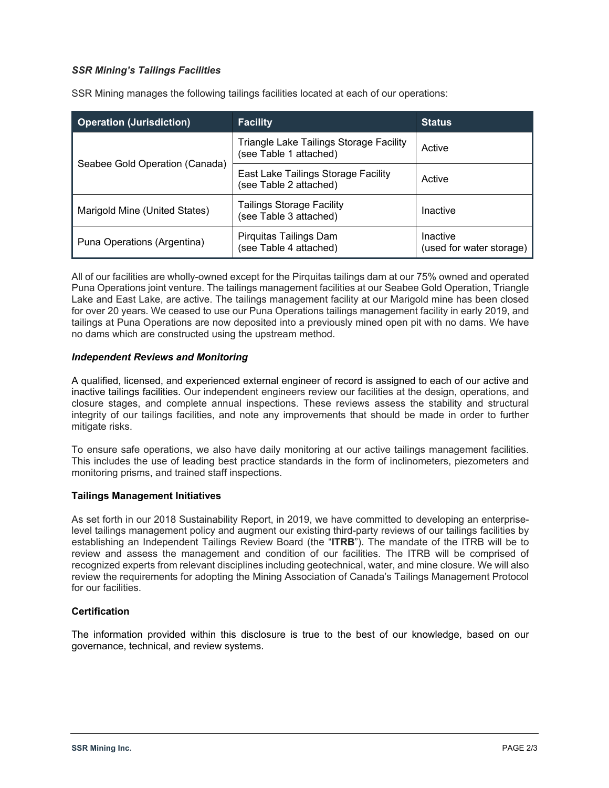### *SSR Mining's Tailings Facilities*

SSR Mining manages the following tailings facilities located at each of our operations:

| <b>Operation (Jurisdiction)</b> | <b>Facility</b>                                                   | <b>Status</b>                        |
|---------------------------------|-------------------------------------------------------------------|--------------------------------------|
|                                 | Triangle Lake Tailings Storage Facility<br>(see Table 1 attached) | Active                               |
| Seabee Gold Operation (Canada)  | East Lake Tailings Storage Facility<br>(see Table 2 attached)     | Active                               |
| Marigold Mine (United States)   | <b>Tailings Storage Facility</b><br>(see Table 3 attached)        | Inactive                             |
| Puna Operations (Argentina)     | Pirquitas Tailings Dam<br>(see Table 4 attached)                  | Inactive<br>(used for water storage) |

All of our facilities are wholly-owned except for the Pirquitas tailings dam at our 75% owned and operated Puna Operations joint venture. The tailings management facilities at our Seabee Gold Operation, Triangle Lake and East Lake, are active. The tailings management facility at our Marigold mine has been closed for over 20 years. We ceased to use our Puna Operations tailings management facility in early 2019, and tailings at Puna Operations are now deposited into a previously mined open pit with no dams. We have no dams which are constructed using the upstream method.

### *Independent Reviews and Monitoring*

A qualified, licensed, and experienced external engineer of record is assigned to each of our active and inactive tailings facilities. Our independent engineers review our facilities at the design, operations, and closure stages, and complete annual inspections. These reviews assess the stability and structural integrity of our tailings facilities, and note any improvements that should be made in order to further mitigate risks.

To ensure safe operations, we also have daily monitoring at our active tailings management facilities. This includes the use of leading best practice standards in the form of inclinometers, piezometers and monitoring prisms, and trained staff inspections.

### **Tailings Management Initiatives**

As set forth in our 2018 Sustainability Report, in 2019, we have committed to developing an enterpriselevel tailings management policy and augment our existing third-party reviews of our tailings facilities by establishing an Independent Tailings Review Board (the "**ITRB**"). The mandate of the ITRB will be to review and assess the management and condition of our facilities. The ITRB will be comprised of recognized experts from relevant disciplines including geotechnical, water, and mine closure. We will also review the requirements for adopting the Mining Association of Canada's Tailings Management Protocol for our facilities.

### **Certification**

The information provided within this disclosure is true to the best of our knowledge, based on our governance, technical, and review systems.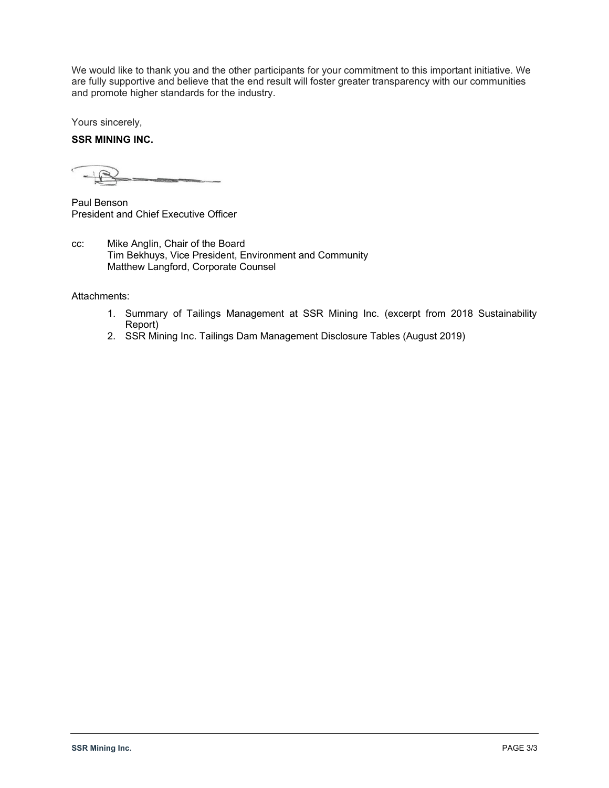We would like to thank you and the other participants for your commitment to this important initiative. We are fully supportive and believe that the end result will foster greater transparency with our communities and promote higher standards for the industry.

Yours sincerely,

### **SSR MINING INC.**

Paul Benson President and Chief Executive Officer

cc: Mike Anglin, Chair of the Board Tim Bekhuys, Vice President, Environment and Community Matthew Langford, Corporate Counsel

Attachments:

- 1. Summary of Tailings Management at SSR Mining Inc. (excerpt from 2018 Sustainability Report)
- 2. SSR Mining Inc. Tailings Dam Management Disclosure Tables (August 2019)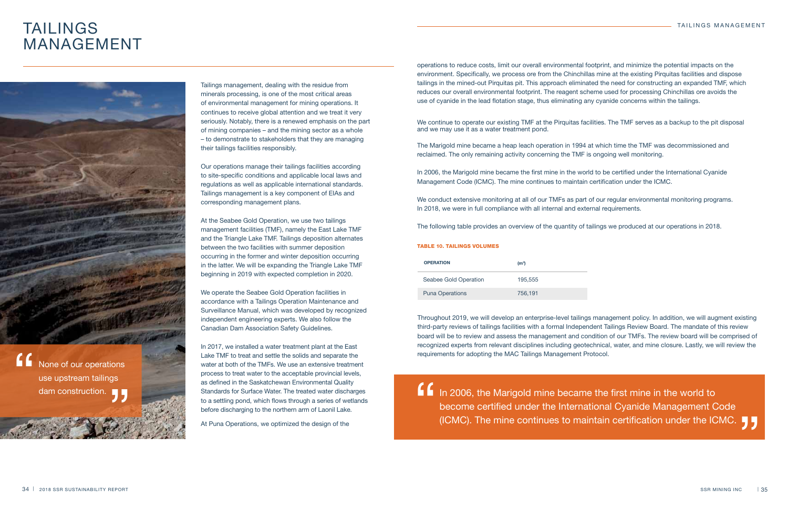# TAILINGS MANAGEMENT



Tailings management, dealing with the residue from minerals processing, is one of the most critical areas of environmental management for mining operations. It continues to receive global attention and we treat it very seriously. Notably, there is a renewed emphasis on the part of mining companies – and the mining sector as a whole – to demonstrate to stakeholders that they are managing their tailings facilities responsibly.

Our operations manage their tailings facilities according to site-specific conditions and applicable local laws and regulations as well as applicable international standards. Tailings management is a key component of EIAs and corresponding management plans.

At the Seabee Gold Operation, we use two tailings management facilities (TMF), namely the East Lake TMF and the Triangle Lake TMF. Tailings deposition alternates between the two facilities with summer deposition occurring in the former and winter deposition occurring in the latter. We will be expanding the Triangle Lake TMF beginning in 2019 with expected completion in 2020.

We operate the Seabee Gold Operation facilities in accordance with a Tailings Operation Maintenance and Surveillance Manual, which was developed by recognized independent engineering experts. We also follow the Canadian Dam Association Safety Guidelines.

We continue to operate our existing TMF at the Pirquitas facilities. The TMF serves as a backup to the pit disposal and we may use it as a water treatment pond.

In 2017, we installed a water treatment plant at the East Lake TMF to treat and settle the solids and separate the water at both of the TMFs. We use an extensive treatment process to treat water to the acceptable provincial levels, as defined in the Saskatchewan Environmental Quality Standards for Surface Water. The treated water discharges to a settling pond, which flows through a series of wetlands before discharging to the northern arm of Laonil Lake.

At Puna Operations, we optimized the design of the

#### TABLE 10. TAILINGS VOLUMES

In 2006, the Marigold mine became the first mine in the world to become certified under the International Cyanide Management Code "<br>" (ICMC). The mine continues to maintain certification under the ICMC.  $\begin{bmatrix} 1 \\ 2 \end{bmatrix}$ 

| <b>OPERATION</b>       | (m <sup>3</sup> ) |
|------------------------|-------------------|
| Seabee Gold Operation  | 195.555           |
| <b>Puna Operations</b> | 756,191           |

None of our operations use upstream tailings "<br>" dam construction.<br>"The same of the same of the same of the same of the same of the same of the same of the same of the same of the same of the same of the same of the same of the same of the same of the same of the same of Throughout 2019, we will develop an enterprise-level tailings management policy. In addition, we will augment existing third-party reviews of tailings facilities with a formal Independent Tailings Review Board. The mandate of this review board will be to review and assess the management and condition of our TMFs. The review board will be comprised of recognized experts from relevant disciplines including geotechnical, water, and mine closure. Lastly, we will review the requirements for adopting the MAC Tailings Management Protocol.

operations to reduce costs, limit our overall environmental footprint, and minimize the potential impacts on the environment. Specifically, we process ore from the Chinchillas mine at the existing Pirquitas facilities and dispose tailings in the mined-out Pirquitas pit. This approach eliminated the need for constructing an expanded TMF, which reduces our overall environmental footprint. The reagent scheme used for processing Chinchillas ore avoids the use of cyanide in the lead flotation stage, thus eliminating any cyanide concerns within the tailings.

The Marigold mine became a heap leach operation in 1994 at which time the TMF was decommissioned and reclaimed. The only remaining activity concerning the TMF is ongoing well monitoring.

In 2006, the Marigold mine became the first mine in the world to be certified under the International Cyanide Management Code (ICMC). The mine continues to maintain certification under the ICMC.

We conduct extensive monitoring at all of our TMFs as part of our regular environmental monitoring programs. In 2018, we were in full compliance with all internal and external requirements.

The following table provides an overview of the quantity of tailings we produced at our operations in 2018.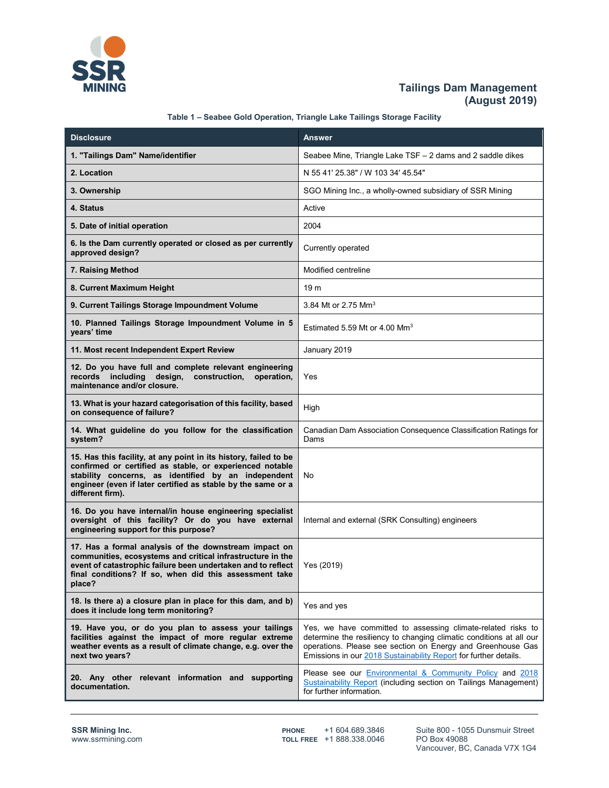

## **Tailings Dam Management (August 2019)**

| Table 1 - Seabee Gold Operation, Triangle Lake Tailings Storage Facility |  |  |
|--------------------------------------------------------------------------|--|--|
|                                                                          |  |  |

| <b>Disclosure</b>                                                                                                                                                                                                                                                       | <b>Answer</b>                                                                                                                                                                                                                                                          |
|-------------------------------------------------------------------------------------------------------------------------------------------------------------------------------------------------------------------------------------------------------------------------|------------------------------------------------------------------------------------------------------------------------------------------------------------------------------------------------------------------------------------------------------------------------|
| 1. "Tailings Dam" Name/identifier                                                                                                                                                                                                                                       | Seabee Mine, Triangle Lake TSF - 2 dams and 2 saddle dikes                                                                                                                                                                                                             |
| 2. Location                                                                                                                                                                                                                                                             | N 55 41' 25.38" / W 103 34' 45.54"                                                                                                                                                                                                                                     |
| 3. Ownership                                                                                                                                                                                                                                                            | SGO Mining Inc., a wholly-owned subsidiary of SSR Mining                                                                                                                                                                                                               |
| 4. Status                                                                                                                                                                                                                                                               | Active                                                                                                                                                                                                                                                                 |
| 5. Date of initial operation                                                                                                                                                                                                                                            | 2004                                                                                                                                                                                                                                                                   |
| 6. Is the Dam currently operated or closed as per currently<br>approved design?                                                                                                                                                                                         | Currently operated                                                                                                                                                                                                                                                     |
| 7. Raising Method                                                                                                                                                                                                                                                       | Modified centreline                                                                                                                                                                                                                                                    |
| 8. Current Maximum Height                                                                                                                                                                                                                                               | 19 <sub>m</sub>                                                                                                                                                                                                                                                        |
| 9. Current Tailings Storage Impoundment Volume                                                                                                                                                                                                                          | 3.84 Mt or 2.75 Mm <sup>3</sup>                                                                                                                                                                                                                                        |
| 10. Planned Tailings Storage Impoundment Volume in 5<br>years' time                                                                                                                                                                                                     | Estimated 5.59 Mt or 4.00 $\text{Mm}^3$                                                                                                                                                                                                                                |
| 11. Most recent Independent Expert Review                                                                                                                                                                                                                               | January 2019                                                                                                                                                                                                                                                           |
| 12. Do you have full and complete relevant engineering<br>records including design, construction,<br>operation,<br>maintenance and/or closure.                                                                                                                          | Yes                                                                                                                                                                                                                                                                    |
| 13. What is your hazard categorisation of this facility, based<br>on consequence of failure?                                                                                                                                                                            | High                                                                                                                                                                                                                                                                   |
| 14. What guideline do you follow for the classification<br>system?                                                                                                                                                                                                      | Canadian Dam Association Consequence Classification Ratings for<br>Dams                                                                                                                                                                                                |
| 15. Has this facility, at any point in its history, failed to be<br>confirmed or certified as stable, or experienced notable<br>stability concerns, as identified by an independent<br>engineer (even if later certified as stable by the same or a<br>different firm). | No                                                                                                                                                                                                                                                                     |
| 16. Do you have internal/in house engineering specialist<br>oversight of this facility? Or do you have external<br>engineering support for this purpose?                                                                                                                | Internal and external (SRK Consulting) engineers                                                                                                                                                                                                                       |
| 17. Has a formal analysis of the downstream impact on<br>communities, ecosystems and critical infrastructure in the<br>event of catastrophic failure been undertaken and to reflect<br>final conditions? If so, when did this assessment take<br>place?                 | Yes (2019)                                                                                                                                                                                                                                                             |
| 18. Is there a) a closure plan in place for this dam, and b)<br>does it include long term monitoring?                                                                                                                                                                   | Yes and yes                                                                                                                                                                                                                                                            |
| 19. Have you, or do you plan to assess your tailings<br>facilities against the impact of more regular extreme<br>weather events as a result of climate change, e.g. over the<br>next two years?                                                                         | Yes, we have committed to assessing climate-related risks to<br>determine the resiliency to changing climatic conditions at all our<br>operations. Please see section on Energy and Greenhouse Gas<br>Emissions in our 2018 Sustainability Report for further details. |
| 20. Any other relevant information and supporting<br>documentation.                                                                                                                                                                                                     | Please see our <i>Environmental &amp; Community Policy</i> and 2018<br><b>Sustainability Report (including section on Tailings Management)</b><br>for further information.                                                                                             |

TOLL FREE +1 888.338.0046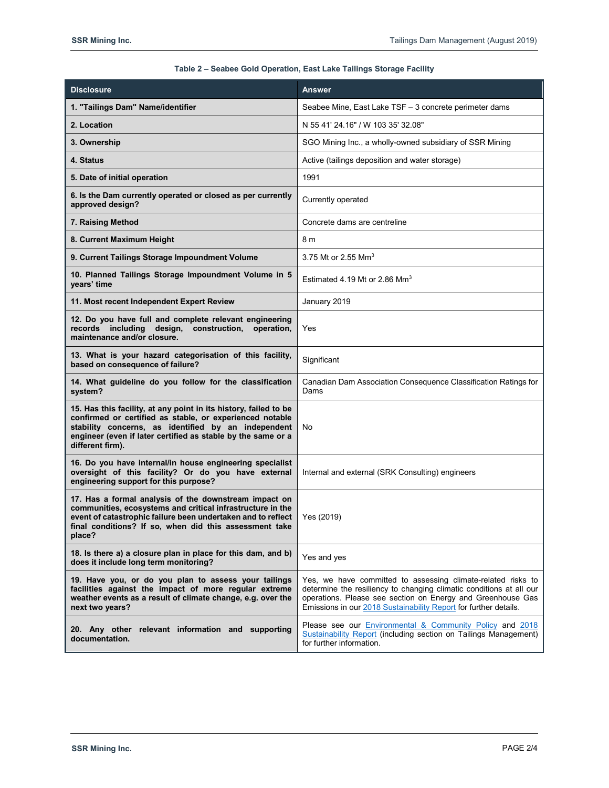| <b>Disclosure</b>                                                                                                                                                                                                                                                       | <b>Answer</b>                                                                                                                                                                                                                                                          |
|-------------------------------------------------------------------------------------------------------------------------------------------------------------------------------------------------------------------------------------------------------------------------|------------------------------------------------------------------------------------------------------------------------------------------------------------------------------------------------------------------------------------------------------------------------|
| 1. "Tailings Dam" Name/identifier                                                                                                                                                                                                                                       | Seabee Mine, East Lake TSF - 3 concrete perimeter dams                                                                                                                                                                                                                 |
| 2. Location                                                                                                                                                                                                                                                             | N 55 41' 24.16" / W 103 35' 32.08"                                                                                                                                                                                                                                     |
| 3. Ownership                                                                                                                                                                                                                                                            | SGO Mining Inc., a wholly-owned subsidiary of SSR Mining                                                                                                                                                                                                               |
| 4. Status                                                                                                                                                                                                                                                               | Active (tailings deposition and water storage)                                                                                                                                                                                                                         |
| 5. Date of initial operation                                                                                                                                                                                                                                            | 1991                                                                                                                                                                                                                                                                   |
| 6. Is the Dam currently operated or closed as per currently<br>approved design?                                                                                                                                                                                         | Currently operated                                                                                                                                                                                                                                                     |
| 7. Raising Method                                                                                                                                                                                                                                                       | Concrete dams are centreline                                                                                                                                                                                                                                           |
| 8. Current Maximum Height                                                                                                                                                                                                                                               | 8 m                                                                                                                                                                                                                                                                    |
| 9. Current Tailings Storage Impoundment Volume                                                                                                                                                                                                                          | 3.75 Mt or 2.55 Mm <sup>3</sup>                                                                                                                                                                                                                                        |
| 10. Planned Tailings Storage Impoundment Volume in 5<br>years' time                                                                                                                                                                                                     | Estimated 4.19 Mt or 2.86 Mm <sup>3</sup>                                                                                                                                                                                                                              |
| 11. Most recent Independent Expert Review                                                                                                                                                                                                                               | January 2019                                                                                                                                                                                                                                                           |
| 12. Do you have full and complete relevant engineering<br>records including design,<br>construction.<br>operation,<br>maintenance and/or closure.                                                                                                                       | Yes                                                                                                                                                                                                                                                                    |
| 13. What is your hazard categorisation of this facility,<br>based on consequence of failure?                                                                                                                                                                            | Significant                                                                                                                                                                                                                                                            |
| 14. What guideline do you follow for the classification<br>system?                                                                                                                                                                                                      | Canadian Dam Association Consequence Classification Ratings for<br>Dams                                                                                                                                                                                                |
| 15. Has this facility, at any point in its history, failed to be<br>confirmed or certified as stable, or experienced notable<br>stability concerns, as identified by an independent<br>engineer (even if later certified as stable by the same or a<br>different firm). | <b>No</b>                                                                                                                                                                                                                                                              |
| 16. Do you have internal/in house engineering specialist<br>oversight of this facility? Or do you have external<br>engineering support for this purpose?                                                                                                                | Internal and external (SRK Consulting) engineers                                                                                                                                                                                                                       |
| 17. Has a formal analysis of the downstream impact on<br>communities, ecosystems and critical infrastructure in the<br>event of catastrophic failure been undertaken and to reflect<br>final conditions? If so, when did this assessment take<br>place?                 | Yes (2019)                                                                                                                                                                                                                                                             |
| 18. Is there a) a closure plan in place for this dam, and b)<br>does it include long term monitoring?                                                                                                                                                                   | Yes and yes                                                                                                                                                                                                                                                            |
| 19. Have you, or do you plan to assess your tailings<br>facilities against the impact of more regular extreme<br>weather events as a result of climate change, e.g. over the<br>next two years?                                                                         | Yes, we have committed to assessing climate-related risks to<br>determine the resiliency to changing climatic conditions at all our<br>operations. Please see section on Energy and Greenhouse Gas<br>Emissions in our 2018 Sustainability Report for further details. |
| 20. Any other relevant information and supporting<br>documentation.                                                                                                                                                                                                     | Please see our <b>Environmental &amp; Community Policy</b> and 2018<br><b>Sustainability Report (including section on Tailings Management)</b><br>for further information.                                                                                             |

### **Table 2 – Seabee Gold Operation, East Lake Tailings Storage Facility**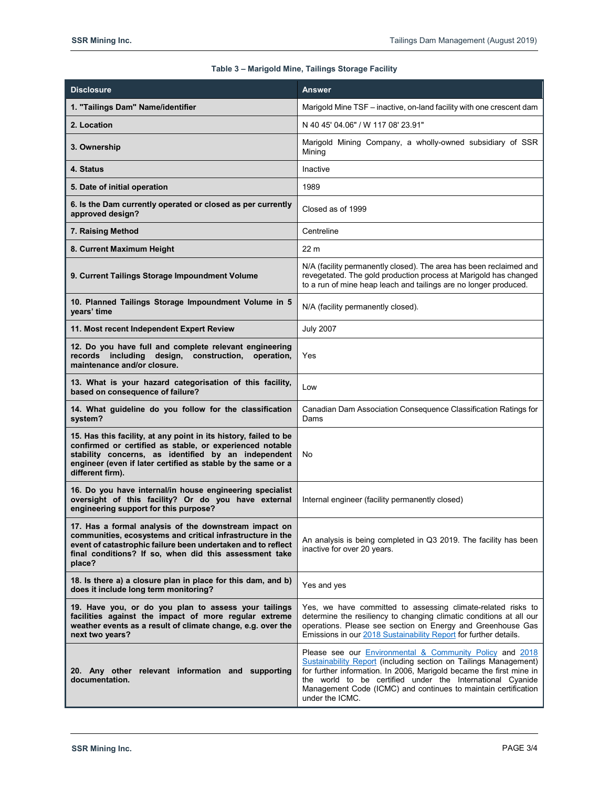### **Table 3 – Marigold Mine, Tailings Storage Facility**

| <b>Disclosure</b>                                                                                                                                                                                                                                                       | <b>Answer</b>                                                                                                                                                                                                                                                                                                                                         |
|-------------------------------------------------------------------------------------------------------------------------------------------------------------------------------------------------------------------------------------------------------------------------|-------------------------------------------------------------------------------------------------------------------------------------------------------------------------------------------------------------------------------------------------------------------------------------------------------------------------------------------------------|
| 1. "Tailings Dam" Name/identifier                                                                                                                                                                                                                                       | Marigold Mine TSF - inactive, on-land facility with one crescent dam                                                                                                                                                                                                                                                                                  |
| 2. Location                                                                                                                                                                                                                                                             | N 40 45' 04.06" / W 117 08' 23.91"                                                                                                                                                                                                                                                                                                                    |
| 3. Ownership                                                                                                                                                                                                                                                            | Marigold Mining Company, a wholly-owned subsidiary of SSR<br>Mining                                                                                                                                                                                                                                                                                   |
| 4. Status                                                                                                                                                                                                                                                               | Inactive                                                                                                                                                                                                                                                                                                                                              |
| 5. Date of initial operation                                                                                                                                                                                                                                            | 1989                                                                                                                                                                                                                                                                                                                                                  |
| 6. Is the Dam currently operated or closed as per currently<br>approved design?                                                                                                                                                                                         | Closed as of 1999                                                                                                                                                                                                                                                                                                                                     |
| 7. Raising Method                                                                                                                                                                                                                                                       | Centreline                                                                                                                                                                                                                                                                                                                                            |
| 8. Current Maximum Height                                                                                                                                                                                                                                               | 22 m                                                                                                                                                                                                                                                                                                                                                  |
| 9. Current Tailings Storage Impoundment Volume                                                                                                                                                                                                                          | N/A (facility permanently closed). The area has been reclaimed and<br>revegetated. The gold production process at Marigold has changed<br>to a run of mine heap leach and tailings are no longer produced.                                                                                                                                            |
| 10. Planned Tailings Storage Impoundment Volume in 5<br>years' time                                                                                                                                                                                                     | N/A (facility permanently closed).                                                                                                                                                                                                                                                                                                                    |
| 11. Most recent Independent Expert Review                                                                                                                                                                                                                               | <b>July 2007</b>                                                                                                                                                                                                                                                                                                                                      |
| 12. Do you have full and complete relevant engineering<br>records including<br>design,<br>construction.<br>operation,<br>maintenance and/or closure.                                                                                                                    | Yes                                                                                                                                                                                                                                                                                                                                                   |
| 13. What is your hazard categorisation of this facility,<br>based on consequence of failure?                                                                                                                                                                            | Low                                                                                                                                                                                                                                                                                                                                                   |
| 14. What guideline do you follow for the classification<br>system?                                                                                                                                                                                                      | Canadian Dam Association Consequence Classification Ratings for<br>Dams                                                                                                                                                                                                                                                                               |
| 15. Has this facility, at any point in its history, failed to be<br>confirmed or certified as stable, or experienced notable<br>stability concerns, as identified by an independent<br>engineer (even if later certified as stable by the same or a<br>different firm). | No                                                                                                                                                                                                                                                                                                                                                    |
| 16. Do you have internal/in house engineering specialist<br>oversight of this facility? Or do you have external<br>engineering support for this purpose?                                                                                                                | Internal engineer (facility permanently closed)                                                                                                                                                                                                                                                                                                       |
| 17. Has a formal analysis of the downstream impact on<br>communities, ecosystems and critical infrastructure in the<br>event of catastrophic failure been undertaken and to reflect<br>final conditions? If so, when did this assessment take<br>place?                 | An analysis is being completed in Q3 2019. The facility has been<br>inactive for over 20 years.                                                                                                                                                                                                                                                       |
| 18. Is there a) a closure plan in place for this dam, and b)<br>does it include long term monitoring?                                                                                                                                                                   | Yes and yes                                                                                                                                                                                                                                                                                                                                           |
| 19. Have you, or do you plan to assess your tailings<br>facilities against the impact of more regular extreme<br>weather events as a result of climate change, e.g. over the<br>next two years?                                                                         | Yes, we have committed to assessing climate-related risks to<br>determine the resiliency to changing climatic conditions at all our<br>operations. Please see section on Energy and Greenhouse Gas<br>Emissions in our 2018 Sustainability Report for further details.                                                                                |
| 20. Any other relevant information and supporting<br>documentation.                                                                                                                                                                                                     | Please see our Environmental & Community Policy and 2018<br>Sustainability Report (including section on Tailings Management)<br>for further information. In 2006, Marigold became the first mine in<br>the world to be certified under the International Cyanide<br>Management Code (ICMC) and continues to maintain certification<br>under the ICMC. |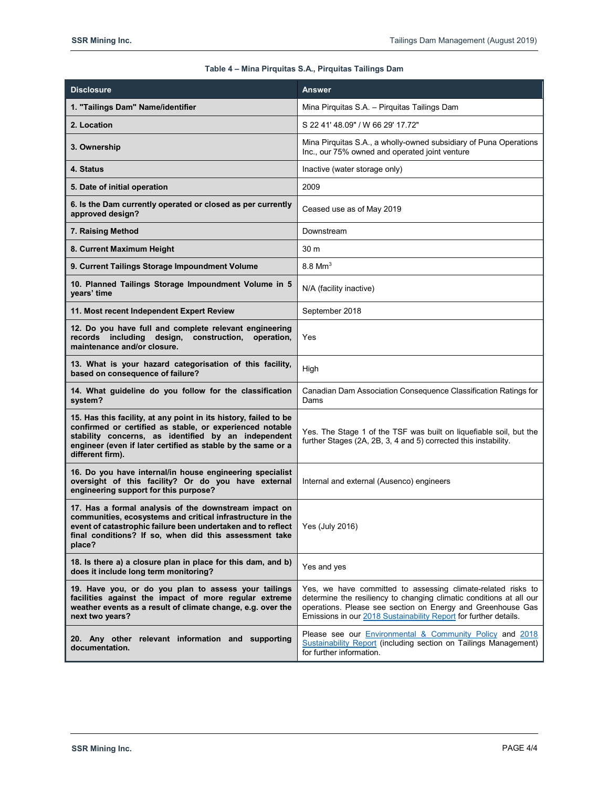### **Table 4 – Mina Pirquitas S.A., Pirquitas Tailings Dam**

| <b>Disclosure</b>                                                                                                                                                                                                                                                       | Answer                                                                                                                                                                                                                                                                 |
|-------------------------------------------------------------------------------------------------------------------------------------------------------------------------------------------------------------------------------------------------------------------------|------------------------------------------------------------------------------------------------------------------------------------------------------------------------------------------------------------------------------------------------------------------------|
| 1. "Tailings Dam" Name/identifier                                                                                                                                                                                                                                       | Mina Pirquitas S.A. - Pirquitas Tailings Dam                                                                                                                                                                                                                           |
| 2. Location                                                                                                                                                                                                                                                             | S 22 41' 48.09" / W 66 29' 17.72"                                                                                                                                                                                                                                      |
| 3. Ownership                                                                                                                                                                                                                                                            | Mina Pirquitas S.A., a wholly-owned subsidiary of Puna Operations<br>Inc., our 75% owned and operated joint venture                                                                                                                                                    |
| 4. Status                                                                                                                                                                                                                                                               | Inactive (water storage only)                                                                                                                                                                                                                                          |
| 5. Date of initial operation                                                                                                                                                                                                                                            | 2009                                                                                                                                                                                                                                                                   |
| 6. Is the Dam currently operated or closed as per currently<br>approved design?                                                                                                                                                                                         | Ceased use as of May 2019                                                                                                                                                                                                                                              |
| 7. Raising Method                                                                                                                                                                                                                                                       | Downstream                                                                                                                                                                                                                                                             |
| 8. Current Maximum Height                                                                                                                                                                                                                                               | 30 m                                                                                                                                                                                                                                                                   |
| 9. Current Tailings Storage Impoundment Volume                                                                                                                                                                                                                          | $8.8$ Mm <sup>3</sup>                                                                                                                                                                                                                                                  |
| 10. Planned Tailings Storage Impoundment Volume in 5<br>years' time                                                                                                                                                                                                     | N/A (facility inactive)                                                                                                                                                                                                                                                |
| 11. Most recent Independent Expert Review                                                                                                                                                                                                                               | September 2018                                                                                                                                                                                                                                                         |
| 12. Do you have full and complete relevant engineering<br>records including<br>design,<br>construction,<br>operation,<br>maintenance and/or closure.                                                                                                                    | Yes                                                                                                                                                                                                                                                                    |
| 13. What is your hazard categorisation of this facility,<br>based on consequence of failure?                                                                                                                                                                            | High                                                                                                                                                                                                                                                                   |
| 14. What guideline do you follow for the classification<br>system?                                                                                                                                                                                                      | Canadian Dam Association Consequence Classification Ratings for<br>Dams                                                                                                                                                                                                |
| 15. Has this facility, at any point in its history, failed to be<br>confirmed or certified as stable, or experienced notable<br>stability concerns, as identified by an independent<br>engineer (even if later certified as stable by the same or a<br>different firm). | Yes. The Stage 1 of the TSF was built on liquefiable soil, but the<br>further Stages (2A, 2B, 3, 4 and 5) corrected this instability.                                                                                                                                  |
| 16. Do you have internal/in house engineering specialist<br>oversight of this facility? Or do you have external<br>engineering support for this purpose?                                                                                                                | Internal and external (Ausenco) engineers                                                                                                                                                                                                                              |
| 17. Has a formal analysis of the downstream impact on<br>communities, ecosystems and critical infrastructure in the<br>event of catastrophic failure been undertaken and to reflect<br>final conditions? If so, when did this assessment take<br>place?                 | Yes (July 2016)                                                                                                                                                                                                                                                        |
| 18. Is there a) a closure plan in place for this dam, and b)<br>does it include long term monitoring?                                                                                                                                                                   | Yes and yes                                                                                                                                                                                                                                                            |
| 19. Have you, or do you plan to assess your tailings<br>facilities against the impact of more regular extreme<br>weather events as a result of climate change, e.g. over the<br>next two years?                                                                         | Yes, we have committed to assessing climate-related risks to<br>determine the resiliency to changing climatic conditions at all our<br>operations. Please see section on Energy and Greenhouse Gas<br>Emissions in our 2018 Sustainability Report for further details. |
| 20. Any other relevant information and supporting<br>documentation.                                                                                                                                                                                                     | Please see our Environmental & Community Policy and 2018<br><b>Sustainability Report (including section on Tailings Management)</b><br>for further information.                                                                                                        |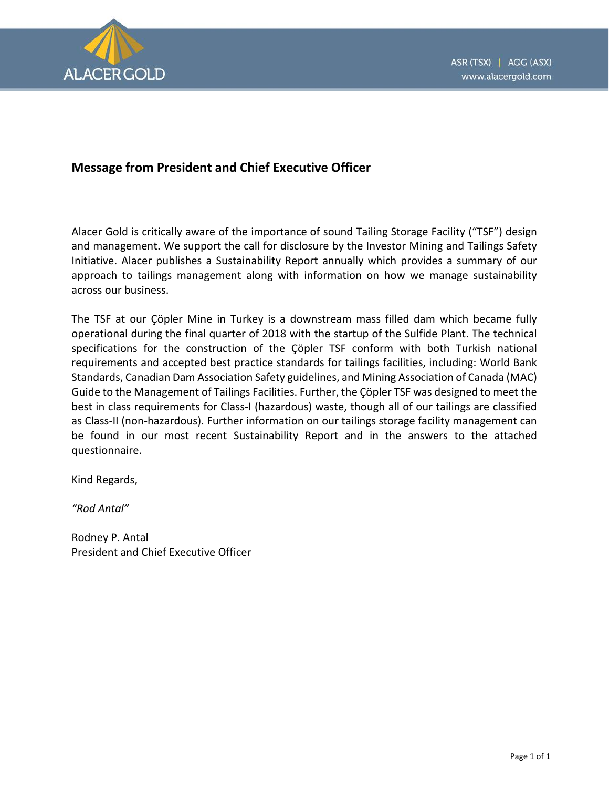

# **Message from President and Chief Executive Officer**

Alacer Gold is critically aware of the importance of sound Tailing Storage Facility ("TSF") design and management. We support the call for disclosure by the Investor Mining and Tailings Safety Initiative. Alacer publishes a Sustainability Report annually which provides a summary of our approach to tailings management along with information on how we manage sustainability across our business.

The TSF at our Çöpler Mine in Turkey is a downstream mass filled dam which became fully operational during the final quarter of 2018 with the startup of the Sulfide Plant. The technical specifications for the construction of the Çöpler TSF conform with both Turkish national requirements and accepted best practice standards for tailings facilities, including: World Bank Standards, Canadian Dam Association Safety guidelines, and Mining Association of Canada (MAC) Guide to the Management of Tailings Facilities. Further, the Çöpler TSF was designed to meet the best in class requirements for Class-I (hazardous) waste, though all of our tailings are classified as Class-II (non-hazardous). Further information on our tailings storage facility management can be found in our most recent Sustainability Report and in the answers to the attached questionnaire.

Kind Regards,

*"Rod Antal"*

Rodney P. Antal President and Chief Executive Officer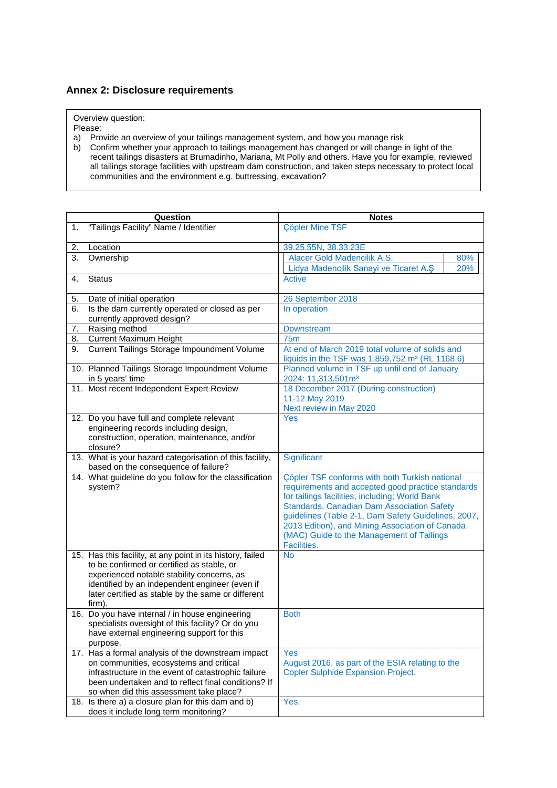### **Annex 2: Disclosure requirements**

Overview question:

Please:

a) Provide an overview of your tailings management system, and how you manage risk

b) Confirm whether your approach to tailings management has changed or will change in light of the recent tailings disasters at Brumadinho, Mariana, Mt Polly and others. Have you for example, reviewed all tailings storage facilities with upstream dam construction, and taken steps necessary to protect local communities and the environment e.g. buttressing, excavation?

|    | Question                                                                                                                                                                                                                                                                                                     | <b>Notes</b>                                                                                                                                                                                                                                                                                                                                                                     |            |
|----|--------------------------------------------------------------------------------------------------------------------------------------------------------------------------------------------------------------------------------------------------------------------------------------------------------------|----------------------------------------------------------------------------------------------------------------------------------------------------------------------------------------------------------------------------------------------------------------------------------------------------------------------------------------------------------------------------------|------------|
| 1. | "Tailings Facility" Name / Identifier                                                                                                                                                                                                                                                                        | <b>Cöpler Mine TSF</b>                                                                                                                                                                                                                                                                                                                                                           |            |
| 2. | Location                                                                                                                                                                                                                                                                                                     | 39.25.55N, 38.33.23E                                                                                                                                                                                                                                                                                                                                                             |            |
| 3. | Ownership                                                                                                                                                                                                                                                                                                    | Alacer Gold Madencilik A.S.<br>Lidya Madencilik Sanayi ve Ticaret A.Ş                                                                                                                                                                                                                                                                                                            | 80%<br>20% |
| 4. | <b>Status</b>                                                                                                                                                                                                                                                                                                | Active                                                                                                                                                                                                                                                                                                                                                                           |            |
| 5. | Date of initial operation                                                                                                                                                                                                                                                                                    | 26 September 2018                                                                                                                                                                                                                                                                                                                                                                |            |
| 6. | Is the dam currently operated or closed as per<br>currently approved design?                                                                                                                                                                                                                                 | In operation                                                                                                                                                                                                                                                                                                                                                                     |            |
| 7. | Raising method                                                                                                                                                                                                                                                                                               | <b>Downstream</b>                                                                                                                                                                                                                                                                                                                                                                |            |
| 8. | <b>Current Maximum Height</b>                                                                                                                                                                                                                                                                                | <b>75m</b>                                                                                                                                                                                                                                                                                                                                                                       |            |
| 9. | Current Tailings Storage Impoundment Volume                                                                                                                                                                                                                                                                  | At end of March 2019 total volume of solids and<br>liquids in the TSF was 1,859,752 m <sup>3</sup> (RL 1168.6)                                                                                                                                                                                                                                                                   |            |
|    | 10. Planned Tailings Storage Impoundment Volume<br>in 5 years' time                                                                                                                                                                                                                                          | Planned volume in TSF up until end of January<br>2024: 11,313,501m <sup>3</sup>                                                                                                                                                                                                                                                                                                  |            |
|    | 11. Most recent Independent Expert Review                                                                                                                                                                                                                                                                    | 18 December 2017 (During construction)<br>11-12 May 2019<br>Next review in May 2020                                                                                                                                                                                                                                                                                              |            |
|    | 12. Do you have full and complete relevant<br>engineering records including design,<br>construction, operation, maintenance, and/or<br>closure?                                                                                                                                                              | Yes                                                                                                                                                                                                                                                                                                                                                                              |            |
|    | 13. What is your hazard categorisation of this facility,<br>based on the consequence of failure?                                                                                                                                                                                                             | Significant                                                                                                                                                                                                                                                                                                                                                                      |            |
|    | 14. What guideline do you follow for the classification<br>system?                                                                                                                                                                                                                                           | <b>Cöpler TSF conforms with both Turkish national</b><br>requirements and accepted good practice standards<br>for tailings facilities, including; World Bank<br>Standards, Canadian Dam Association Safety<br>guidelines (Table 2-1, Dam Safety Guidelines, 2007,<br>2013 Edition), and Mining Association of Canada<br>(MAC) Guide to the Management of Tailings<br>Facilities. |            |
|    | 15. Has this facility, at any point in its history, failed<br>to be confirmed or certified as stable, or<br>experienced notable stability concerns, as<br>identified by an independent engineer (even if<br>later certified as stable by the same or different<br>firm).                                     | <b>No</b>                                                                                                                                                                                                                                                                                                                                                                        |            |
|    | 16. Do you have internal / in house engineering<br>specialists oversight of this facility? Or do you<br>have external engineering support for this<br>purpose.                                                                                                                                               | <b>Both</b>                                                                                                                                                                                                                                                                                                                                                                      |            |
|    | 17. Has a formal analysis of the downstream impact<br>on communities, ecosystems and critical<br>infrastructure in the event of catastrophic failure<br>been undertaken and to reflect final conditions? If<br>so when did this assessment take place?<br>18. Is there a) a closure plan for this dam and b) | <b>Yes</b><br>August 2016, as part of the ESIA relating to the<br><b>Copler Sulphide Expansion Project.</b><br>Yes.                                                                                                                                                                                                                                                              |            |
|    | does it include long term monitoring?                                                                                                                                                                                                                                                                        |                                                                                                                                                                                                                                                                                                                                                                                  |            |